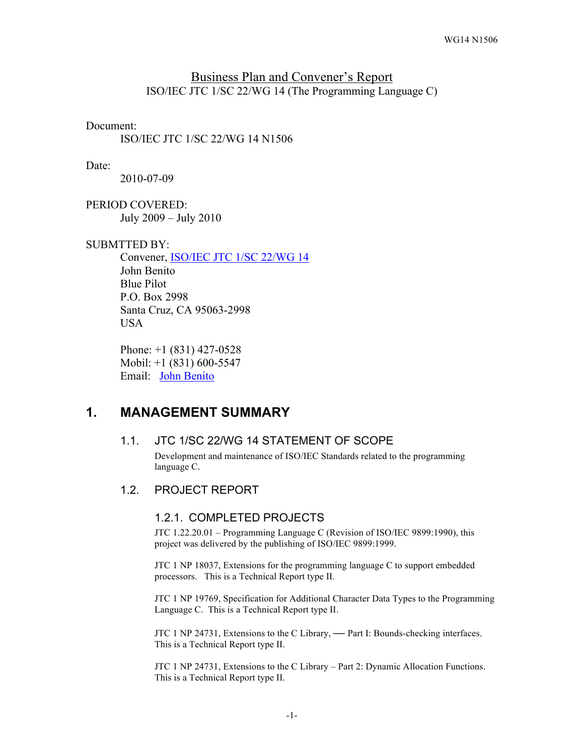#### Business Plan and Convener's Report ISO/IEC JTC 1/SC 22/WG 14 (The Programming Language C)

#### Document:

ISO/IEC JTC 1/SC 22/WG 14 N1506

#### Date:

2010-07-09

PERIOD COVERED: July 2009 – July 2010

#### SUBMTTED BY:

Convener, ISO/IEC JTC 1/SC 22/WG 14 John Benito Blue Pilot P.O. Box 2998 Santa Cruz, CA 95063-2998 USA

Phone: +1 (831) 427-0528 Mobil: +1 (831) 600-5547 Email: John Benito

# **1. MANAGEMENT SUMMARY**

### 1.1. JTC 1/SC 22/WG 14 STATEMENT OF SCOPE

Development and maintenance of ISO/IEC Standards related to the programming language C.

#### 1.2. PROJECT REPORT

#### 1.2.1. COMPLETED PROJECTS

JTC 1.22.20.01 – Programming Language C (Revision of ISO/IEC 9899:1990), this project was delivered by the publishing of ISO/IEC 9899:1999.

JTC 1 NP 18037, Extensions for the programming language C to support embedded processors. This is a Technical Report type II.

JTC 1 NP 19769, Specification for Additional Character Data Types to the Programming Language C. This is a Technical Report type II.

JTC 1 NP 24731, Extensions to the C Library, **—** Part I: Bounds-checking interfaces. This is a Technical Report type II.

JTC 1 NP 24731, Extensions to the C Library – Part 2: Dynamic Allocation Functions. This is a Technical Report type II.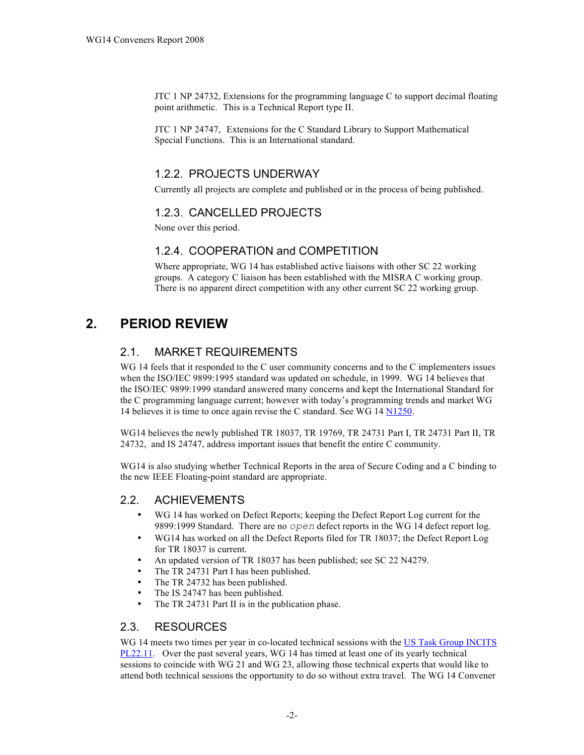JTC 1 NP 24732, Extensions for the programming language C to support decimal floating point arithmetic. This is a Technical Report type II.

JTC 1 NP 24747, Extensions for the C Standard Library to Support Mathematical Special Functions. This is an International standard.

## 1.2.2. PROJECTS UNDERWAY

Currently all projects are complete and published or in the process of being published.

# 1.2.3. CANCELLED PROJECTS

None over this period.

### 1.2.4. COOPERATION and COMPETITION

Where appropriate, WG 14 has established active liaisons with other SC 22 working groups. A category C liaison has been established with the MISRA C working group. There is no apparent direct competition with any other current SC 22 working group.

# **2. PERIOD REVIEW**

# 2.1. MARKET REQUIREMENTS

WG 14 feels that it responded to the C user community concerns and to the C implementers issues when the ISO/IEC 9899:1995 standard was updated on schedule, in 1999. WG 14 believes that the ISO/IEC 9899:1999 standard answered many concerns and kept the International Standard for the C programming language current; however with today's programming trends and market WG 14 believes it is time to once again revise the C standard. See WG 14 N1250.

WG14 believes the newly published TR 18037, TR 19769, TR 24731 Part I, TR 24731 Part II, TR 24732, and IS 24747, address important issues that benefit the entire C community.

WG14 is also studying whether Technical Reports in the area of Secure Coding and a C binding to the new IEEE Floating-point standard are appropriate.

## 2.2. ACHIEVEMENTS

- WG 14 has worked on Defect Reports; keeping the Defect Report Log current for the 9899:1999 Standard. There are no *open* defect reports in the WG 14 defect report log.
- WG14 has worked on all the Defect Reports filed for TR 18037; the Defect Report Log for TR 18037 is current.
- An updated version of TR 18037 has been published; see SC 22 N4279.
- The TR 24731 Part I has been published.<br>• The TR 24732 has been published.
- The TR 24732 has been published.
- The IS 24747 has been published.<br>• The TR 24731 Part II is in the pub-
- The TR 24731 Part II is in the publication phase.

#### 2.3. RESOURCES

WG 14 meets two times per year in co-located technical sessions with the US Task Group INCITS PL22.11. Over the past several years, WG 14 has timed at least one of its yearly technical sessions to coincide with WG 21 and WG 23, allowing those technical experts that would like to attend both technical sessions the opportunity to do so without extra travel. The WG 14 Convener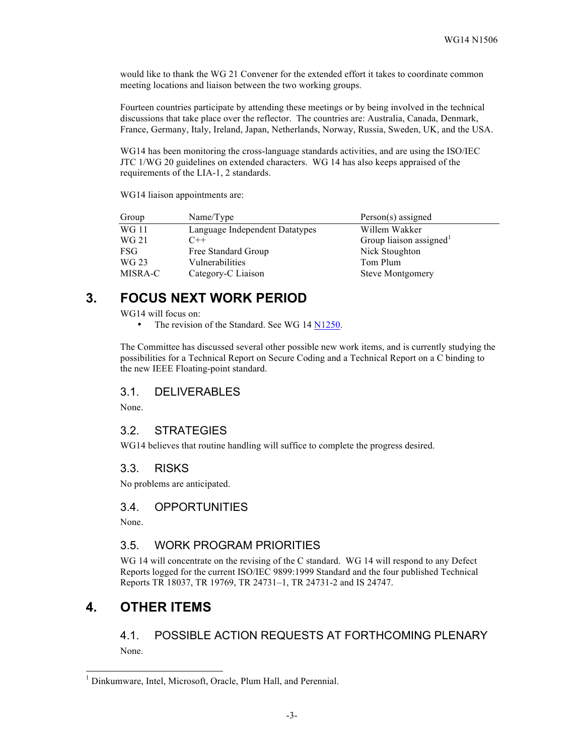would like to thank the WG 21 Convener for the extended effort it takes to coordinate common meeting locations and liaison between the two working groups.

Fourteen countries participate by attending these meetings or by being involved in the technical discussions that take place over the reflector. The countries are: Australia, Canada, Denmark, France, Germany, Italy, Ireland, Japan, Netherlands, Norway, Russia, Sweden, UK, and the USA.

WG14 has been monitoring the cross-language standards activities, and are using the ISO/IEC JTC 1/WG 20 guidelines on extended characters. WG 14 has also keeps appraised of the requirements of the LIA-1, 2 standards.

WG14 liaison appointments are:

| Group      | Name/Type                      | Person(s) assigned      |
|------------|--------------------------------|-------------------------|
| WG 11      | Language Independent Datatypes | Willem Wakker           |
| WG 21      | $C++$                          | Group liaison assigned  |
| <b>FSG</b> | Free Standard Group            | Nick Stoughton          |
| WG 23      | Vulnerabilities                | Tom Plum                |
| MISRA-C    | Category-C Liaison             | <b>Steve Montgomery</b> |

# **3. FOCUS NEXT WORK PERIOD**

WG14 will focus on:

• The revision of the Standard. See WG 14 N1250.

The Committee has discussed several other possible new work items, and is currently studying the possibilities for a Technical Report on Secure Coding and a Technical Report on a C binding to the new IEEE Floating-point standard.

#### 3.1. DELIVERABLES

None.

#### 3.2. STRATEGIES

WG14 believes that routine handling will suffice to complete the progress desired.

#### 3.3. RISKS

No problems are anticipated.

#### 3.4. OPPORTUNITIES

None.

#### 3.5. WORK PROGRAM PRIORITIES

WG 14 will concentrate on the revising of the C standard. WG 14 will respond to any Defect Reports logged for the current ISO/IEC 9899:1999 Standard and the four published Technical Reports TR 18037, TR 19769, TR 24731–1, TR 24731-2 and IS 24747.

# **4. OTHER ITEMS**

4.1. POSSIBLE ACTION REQUESTS AT FORTHCOMING PLENARY None.

 <sup>1</sup> Dinkumware, Intel, Microsoft, Oracle, Plum Hall, and Perennial.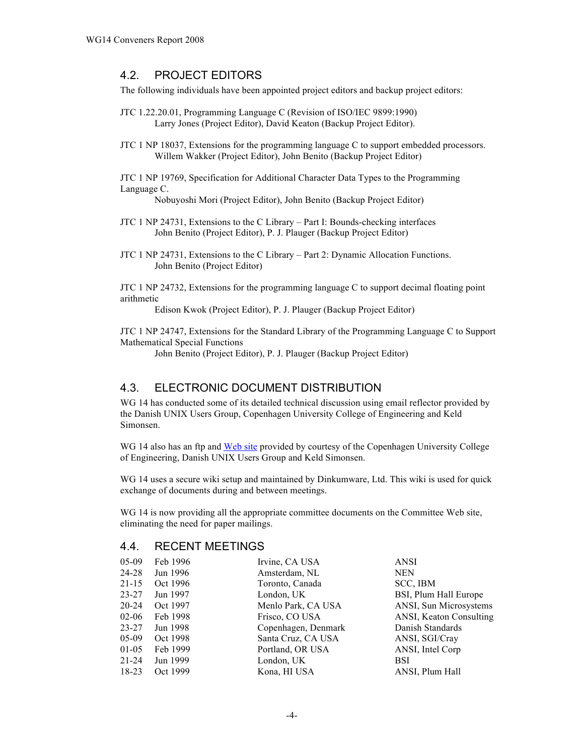### 4.2. PROJECT EDITORS

The following individuals have been appointed project editors and backup project editors:

- JTC 1.22.20.01, Programming Language C (Revision of ISO/IEC 9899:1990) Larry Jones (Project Editor), David Keaton (Backup Project Editor).
- JTC 1 NP 18037, Extensions for the programming language C to support embedded processors. Willem Wakker (Project Editor), John Benito (Backup Project Editor)

JTC 1 NP 19769, Specification for Additional Character Data Types to the Programming Language C.

Nobuyoshi Mori (Project Editor), John Benito (Backup Project Editor)

- JTC 1 NP 24731, Extensions to the C Library Part I: Bounds-checking interfaces John Benito (Project Editor), P. J. Plauger (Backup Project Editor)
- JTC 1 NP 24731, Extensions to the C Library Part 2: Dynamic Allocation Functions. John Benito (Project Editor)

JTC 1 NP 24732, Extensions for the programming language C to support decimal floating point arithmetic

Edison Kwok (Project Editor), P. J. Plauger (Backup Project Editor)

JTC 1 NP 24747, Extensions for the Standard Library of the Programming Language C to Support Mathematical Special Functions

John Benito (Project Editor), P. J. Plauger (Backup Project Editor)

## 4.3. ELECTRONIC DOCUMENT DISTRIBUTION

WG 14 has conducted some of its detailed technical discussion using email reflector provided by the Danish UNIX Users Group, Copenhagen University College of Engineering and Keld Simonsen.

WG 14 also has an ftp and Web site provided by courtesy of the Copenhagen University College of Engineering, Danish UNIX Users Group and Keld Simonsen.

WG 14 uses a secure wiki setup and maintained by Dinkumware, Ltd. This wiki is used for quick exchange of documents during and between meetings.

WG 14 is now providing all the appropriate committee documents on the Committee Web site, eliminating the need for paper mailings.

#### 4.4. RECENT MEETINGS

| $05-09$   | Feb 1996 | Irvine, CA USA      | <b>ANSI</b>             |
|-----------|----------|---------------------|-------------------------|
| 24-28     | Jun 1996 | Amsterdam, NL       | <b>NEN</b>              |
| $21 - 15$ | Oct 1996 | Toronto, Canada     | SCC, IBM                |
| $23 - 27$ | Jun 1997 | London, UK          | BSI, Plum Hall Europe   |
| 20-24     | Oct 1997 | Menlo Park, CA USA  | ANSI, Sun Microsystems  |
| $02 - 06$ | Feb 1998 | Frisco, CO USA      | ANSI, Keaton Consulting |
| $23 - 27$ | Jun 1998 | Copenhagen, Denmark | Danish Standards        |
| $05-09$   | Oct 1998 | Santa Cruz, CA USA  | ANSI, SGI/Cray          |
| $01-05$   | Feb 1999 | Portland, OR USA    | ANSI, Intel Corp        |
| $21 - 24$ | Jun 1999 | London, UK          | <b>BSI</b>              |
| $18-23$   | Oct 1999 | Kona, HI USA        | ANSI, Plum Hall         |